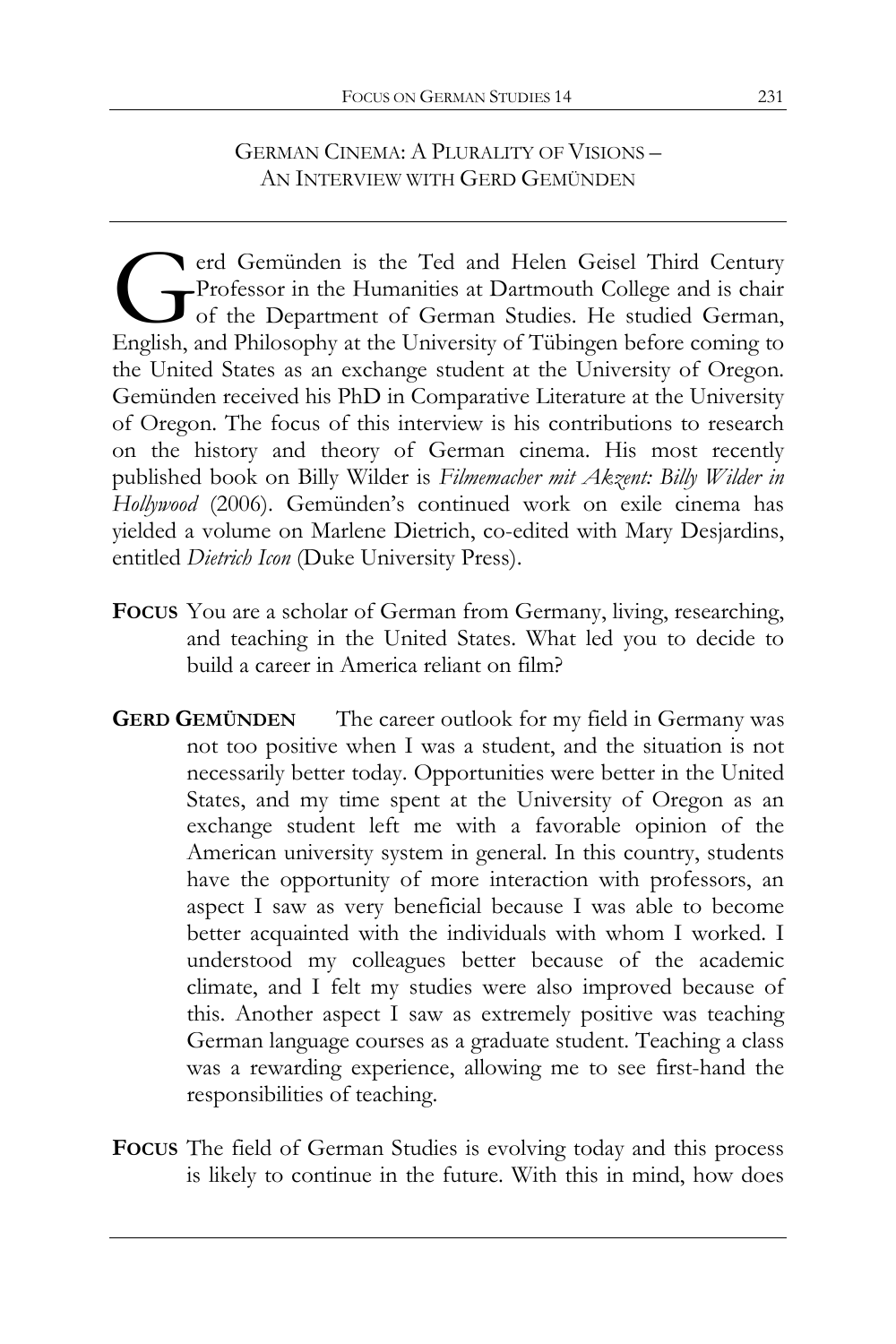## GERMAN CINEMA: A PLURALITY OF VISIONS – AN INTERVIEW WITH GERD GEMÜNDEN

erd Gemünden is the Ted and Helen Geisel Third Century Professor in the Humanities at Dartmouth College and is chair of the Department of German Studies. He studied German, erd Gemünden is the Ted and Helen Geisel Third Century<br>Professor in the Humanities at Dartmouth College and is chair<br>of the Department of German Studies. He studied German,<br>English, and Philosophy at the University of Tübi the United States as an exchange student at the University of Oregon. Gemünden received his PhD in Comparative Literature at the University of Oregon. The focus of this interview is his contributions to research on the history and theory of German cinema. His most recently published book on Billy Wilder is *Filmemacher mit Akzent: Billy Wilder in Hollywood* (2006). Gemünden's continued work on exile cinema has yielded a volume on Marlene Dietrich, co-edited with Mary Desjardins, entitled *Dietrich Icon* (Duke University Press).

- **FOCUS** You are a scholar of German from Germany, living, researching, and teaching in the United States. What led you to decide to build a career in America reliant on film?
- **GERD GEMÜNDEN** The career outlook for my field in Germany was not too positive when I was a student, and the situation is not necessarily better today. Opportunities were better in the United States, and my time spent at the University of Oregon as an exchange student left me with a favorable opinion of the American university system in general. In this country, students have the opportunity of more interaction with professors, an aspect I saw as very beneficial because I was able to become better acquainted with the individuals with whom I worked. I understood my colleagues better because of the academic climate, and I felt my studies were also improved because of this. Another aspect I saw as extremely positive was teaching German language courses as a graduate student. Teaching a class was a rewarding experience, allowing me to see first-hand the responsibilities of teaching.
- **FOCUS** The field of German Studies is evolving today and this process is likely to continue in the future. With this in mind, how does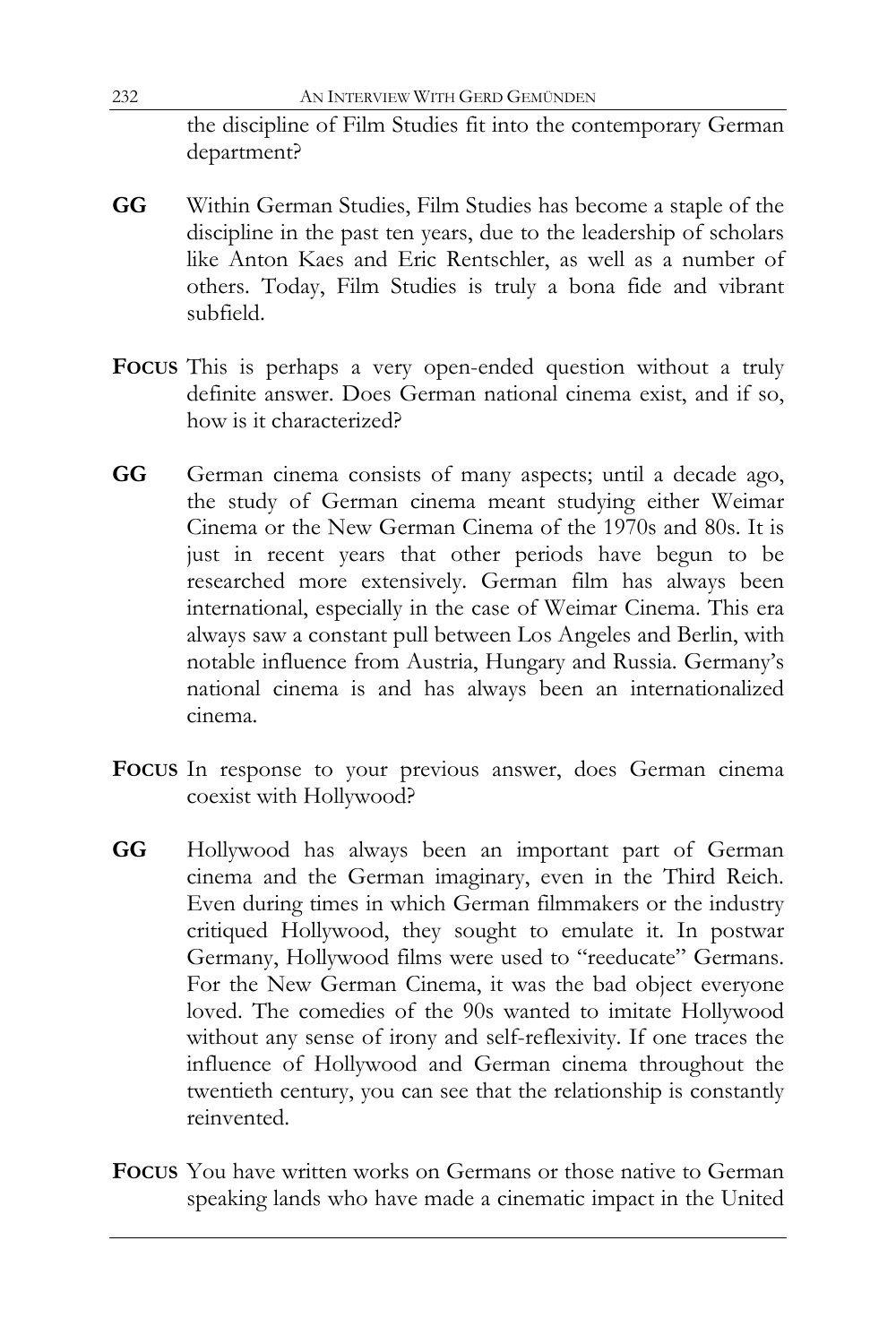232 AN INTERVIEW WITH GERD GEMÜNDEN the discipline of Film Studies fit into the contemporary German department?

- **GG** Within German Studies, Film Studies has become a staple of the discipline in the past ten years, due to the leadership of scholars like Anton Kaes and Eric Rentschler, as well as a number of others. Today, Film Studies is truly a bona fide and vibrant subfield.
- **FOCUS** This is perhaps a very open-ended question without a truly definite answer. Does German national cinema exist, and if so, how is it characterized?
- **GG** German cinema consists of many aspects; until a decade ago, the study of German cinema meant studying either Weimar Cinema or the New German Cinema of the 1970s and 80s. It is just in recent years that other periods have begun to be researched more extensively. German film has always been international, especially in the case of Weimar Cinema. This era always saw a constant pull between Los Angeles and Berlin, with notable influence from Austria, Hungary and Russia. Germany's national cinema is and has always been an internationalized cinema.
- **FOCUS** In response to your previous answer, does German cinema coexist with Hollywood?
- **GG** Hollywood has always been an important part of German cinema and the German imaginary, even in the Third Reich. Even during times in which German filmmakers or the industry critiqued Hollywood, they sought to emulate it. In postwar Germany, Hollywood films were used to "reeducate" Germans. For the New German Cinema, it was the bad object everyone loved. The comedies of the 90s wanted to imitate Hollywood without any sense of irony and self-reflexivity. If one traces the influence of Hollywood and German cinema throughout the twentieth century, you can see that the relationship is constantly reinvented.
- **FOCUS** You have written works on Germans or those native to German speaking lands who have made a cinematic impact in the United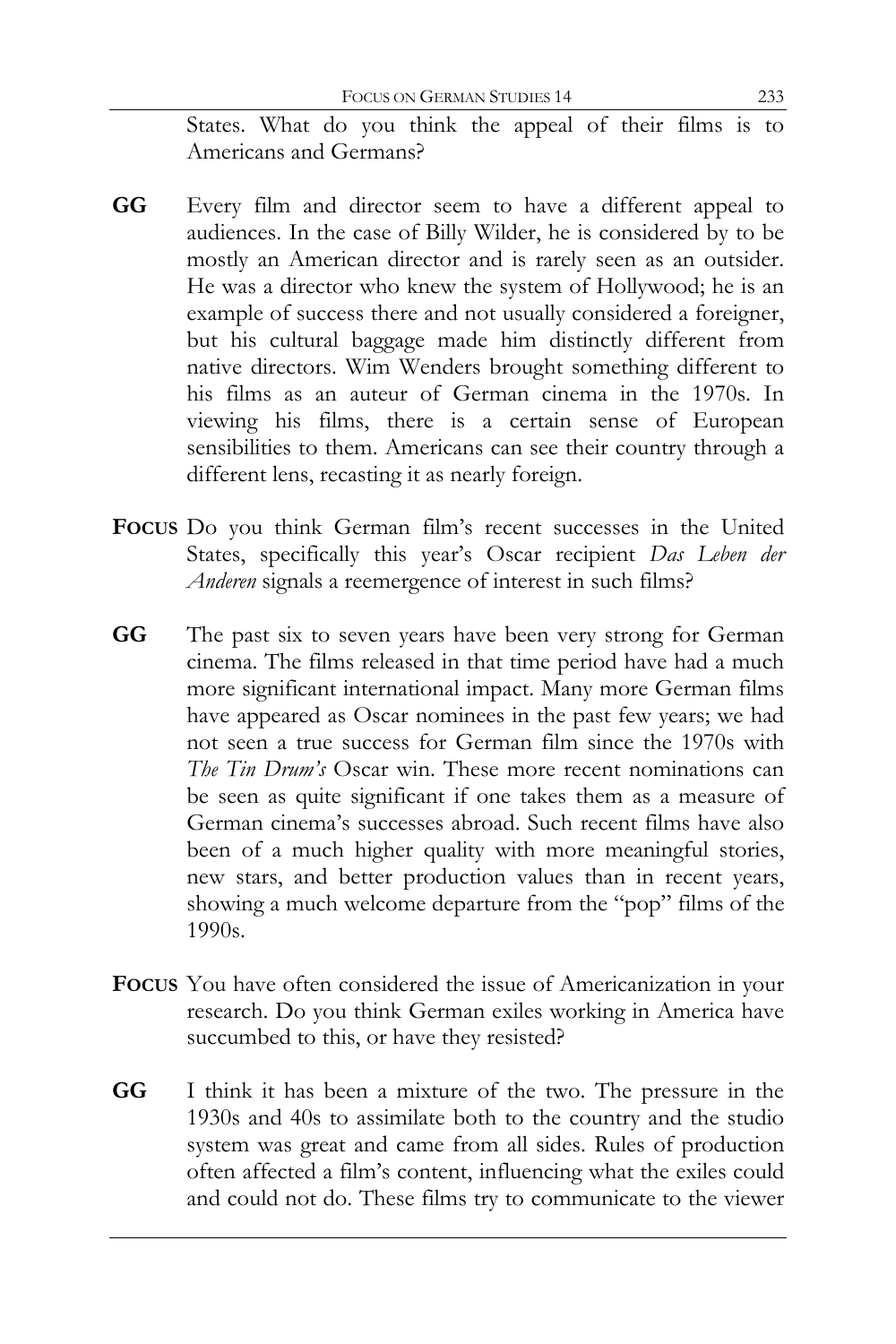States. What do you think the appeal of their films is to Americans and Germans?

- **GG** Every film and director seem to have a different appeal to audiences. In the case of Billy Wilder, he is considered by to be mostly an American director and is rarely seen as an outsider. He was a director who knew the system of Hollywood; he is an example of success there and not usually considered a foreigner, but his cultural baggage made him distinctly different from native directors. Wim Wenders brought something different to his films as an auteur of German cinema in the 1970s. In viewing his films, there is a certain sense of European sensibilities to them. Americans can see their country through a different lens, recasting it as nearly foreign.
- **FOCUS** Do you think German film's recent successes in the United States, specifically this year's Oscar recipient *Das Leben der Anderen* signals a reemergence of interest in such films?
- **GG** The past six to seven years have been very strong for German cinema. The films released in that time period have had a much more significant international impact. Many more German films have appeared as Oscar nominees in the past few years; we had not seen a true success for German film since the 1970s with *The Tin Drum's* Oscar win. These more recent nominations can be seen as quite significant if one takes them as a measure of German cinema's successes abroad. Such recent films have also been of a much higher quality with more meaningful stories, new stars, and better production values than in recent years, showing a much welcome departure from the "pop" films of the 1990s.
- **FOCUS** You have often considered the issue of Americanization in your research. Do you think German exiles working in America have succumbed to this, or have they resisted?
- **GG** I think it has been a mixture of the two. The pressure in the 1930s and 40s to assimilate both to the country and the studio system was great and came from all sides. Rules of production often affected a film's content, influencing what the exiles could and could not do. These films try to communicate to the viewer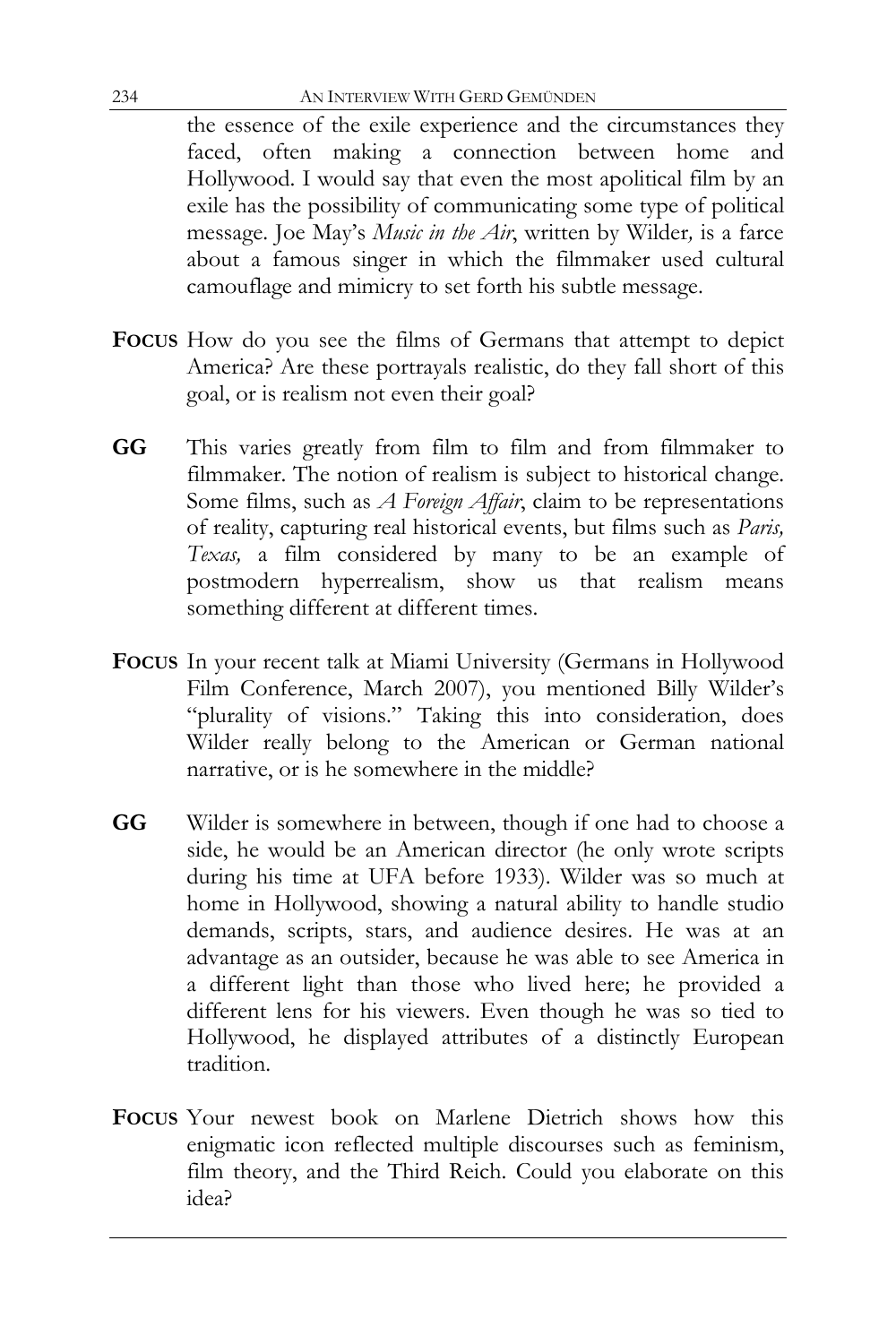the essence of the exile experience and the circumstances they faced, often making a connection between home and Hollywood. I would say that even the most apolitical film by an exile has the possibility of communicating some type of political message. Joe May's *Music in the Air*, written by Wilder*,* is a farce about a famous singer in which the filmmaker used cultural camouflage and mimicry to set forth his subtle message.

- **FOCUS** How do you see the films of Germans that attempt to depict America? Are these portrayals realistic, do they fall short of this goal, or is realism not even their goal?
- **GG** This varies greatly from film to film and from filmmaker to filmmaker. The notion of realism is subject to historical change. Some films, such as *A Foreign Affair*, claim to be representations of reality, capturing real historical events, but films such as *Paris, Texas,* a film considered by many to be an example of postmodern hyperrealism, show us that realism means something different at different times.
- **FOCUS** In your recent talk at Miami University (Germans in Hollywood Film Conference, March 2007), you mentioned Billy Wilder's "plurality of visions." Taking this into consideration, does Wilder really belong to the American or German national narrative, or is he somewhere in the middle?
- **GG** Wilder is somewhere in between, though if one had to choose a side, he would be an American director (he only wrote scripts during his time at UFA before 1933). Wilder was so much at home in Hollywood, showing a natural ability to handle studio demands, scripts, stars, and audience desires. He was at an advantage as an outsider, because he was able to see America in a different light than those who lived here; he provided a different lens for his viewers. Even though he was so tied to Hollywood, he displayed attributes of a distinctly European tradition.
- **FOCUS** Your newest book on Marlene Dietrich shows how this enigmatic icon reflected multiple discourses such as feminism, film theory, and the Third Reich. Could you elaborate on this idea?